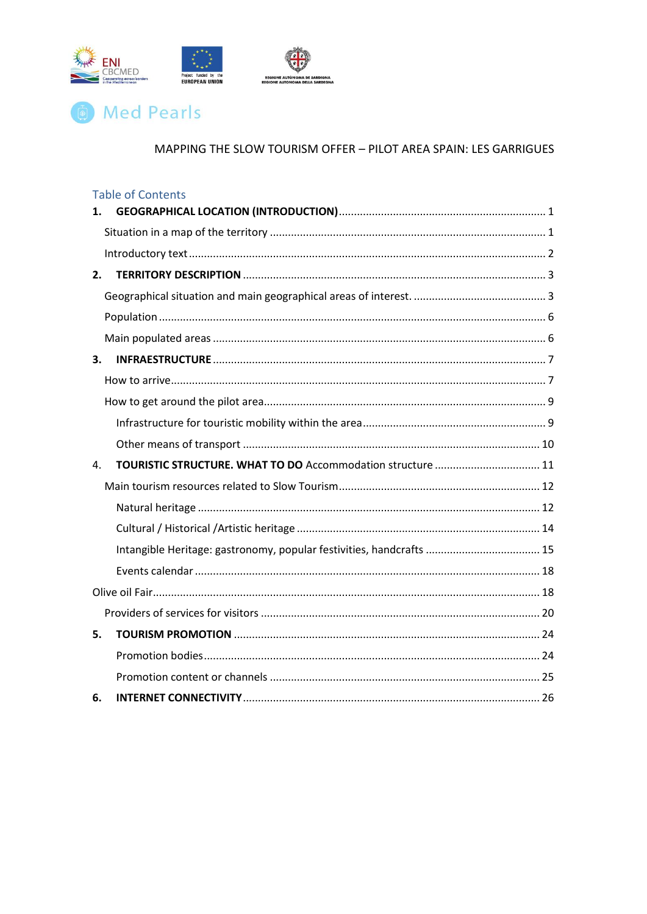

# **The Med Pearls**

|    | <b>Table of Contents</b>                                             |  |
|----|----------------------------------------------------------------------|--|
| 1. |                                                                      |  |
|    |                                                                      |  |
|    |                                                                      |  |
| 2. |                                                                      |  |
|    |                                                                      |  |
|    |                                                                      |  |
|    |                                                                      |  |
| 3. |                                                                      |  |
|    |                                                                      |  |
|    |                                                                      |  |
|    |                                                                      |  |
|    |                                                                      |  |
| 4. | TOURISTIC STRUCTURE. WHAT TO DO Accommodation structure  11          |  |
|    |                                                                      |  |
|    |                                                                      |  |
|    |                                                                      |  |
|    | Intangible Heritage: gastronomy, popular festivities, handcrafts  15 |  |
|    |                                                                      |  |
|    |                                                                      |  |
|    |                                                                      |  |
| 5. |                                                                      |  |
|    |                                                                      |  |
|    |                                                                      |  |
| 6. |                                                                      |  |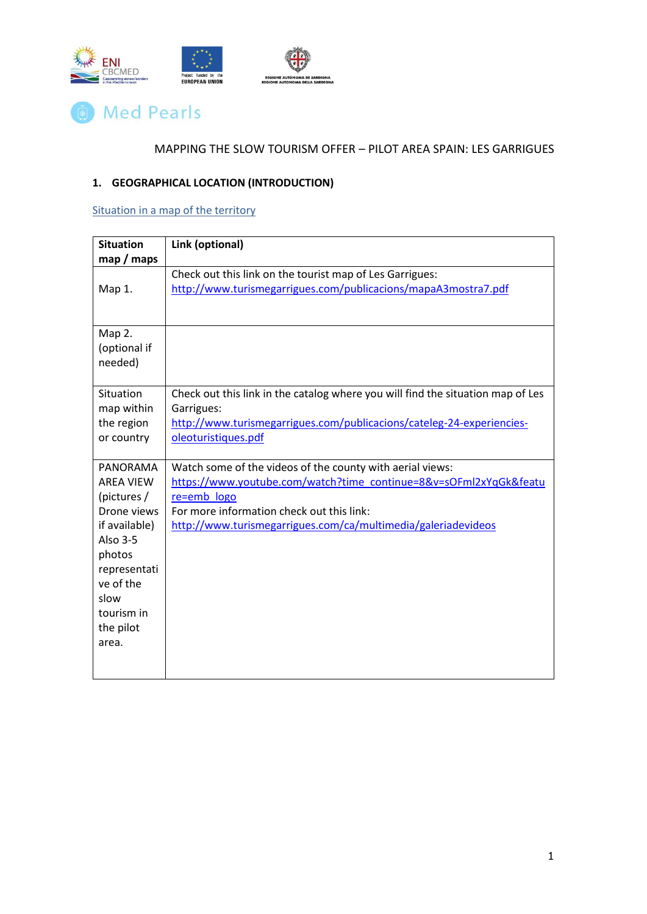

# **(b)** Med Pearls

# MAPPING THE SLOW TOURISM OFFER – PILOT AREA SPAIN: LES GARRIGUES

# <span id="page-1-0"></span>**1. GEOGRAPHICAL LOCATION (INTRODUCTION)**

# <span id="page-1-1"></span>Situation in a map of the territory

| <b>Situation</b>             | Link (optional)                                                                  |  |  |
|------------------------------|----------------------------------------------------------------------------------|--|--|
| map / maps                   |                                                                                  |  |  |
|                              | Check out this link on the tourist map of Les Garrigues:                         |  |  |
| Map 1.                       | http://www.turismegarrigues.com/publicacions/mapaA3mostra7.pdf                   |  |  |
|                              |                                                                                  |  |  |
|                              |                                                                                  |  |  |
| Map 2.                       |                                                                                  |  |  |
| (optional if                 |                                                                                  |  |  |
| needed)                      |                                                                                  |  |  |
|                              |                                                                                  |  |  |
| Situation                    | Check out this link in the catalog where you will find the situation map of Les  |  |  |
| map within                   | Garrigues:                                                                       |  |  |
| the region                   | http://www.turismegarrigues.com/publicacions/cateleg-24-experiencies-            |  |  |
| or country                   | oleoturistiques.pdf                                                              |  |  |
|                              |                                                                                  |  |  |
| PANORAMA<br><b>AREA VIEW</b> | Watch some of the videos of the county with aerial views:                        |  |  |
| (pictures /                  | https://www.youtube.com/watch?time_continue=8&v=sOFml2xYqGk&featu<br>re=emb_logo |  |  |
| Drone views                  | For more information check out this link:                                        |  |  |
| if available)                | http://www.turismegarrigues.com/ca/multimedia/galeriadevideos                    |  |  |
| Also 3-5                     |                                                                                  |  |  |
| photos                       |                                                                                  |  |  |
| representati                 |                                                                                  |  |  |
| ve of the                    |                                                                                  |  |  |
| slow                         |                                                                                  |  |  |
| tourism in                   |                                                                                  |  |  |
| the pilot                    |                                                                                  |  |  |
| area.                        |                                                                                  |  |  |
|                              |                                                                                  |  |  |
|                              |                                                                                  |  |  |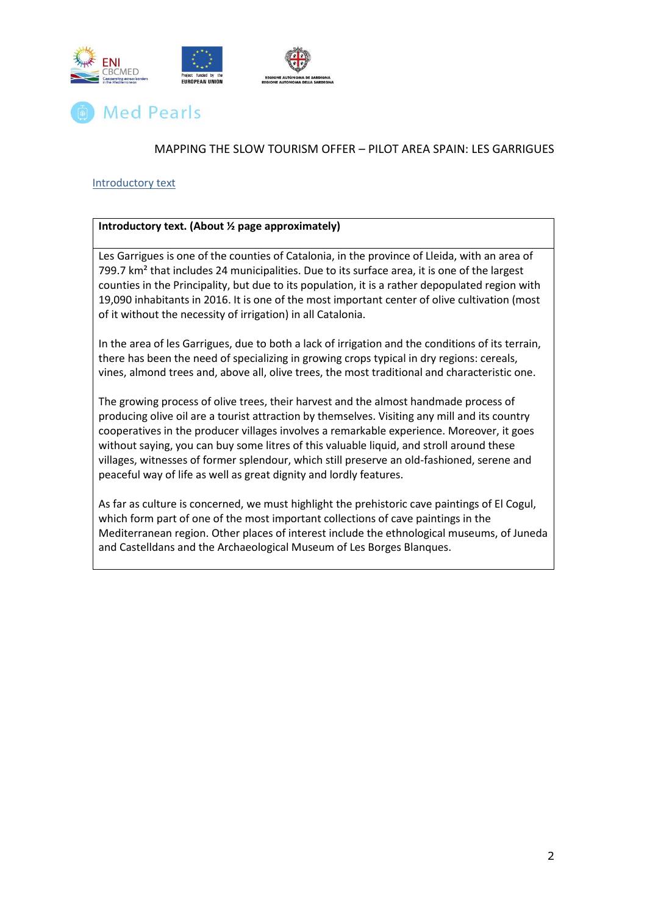



#### <span id="page-2-0"></span>Introductory text

#### **Introductory text. (About ½ page approximately)**

Les Garrigues is one of the counties of Catalonia, in the province of Lleida, with an area of 799.7 km<sup>2</sup> that includes 24 municipalities. Due to its surface area, it is one of the largest counties in the Principality, but due to its population, it is a rather depopulated region with 19,090 inhabitants in 2016. It is one of the most important center of olive cultivation (most of it without the necessity of irrigation) in all Catalonia.

In the area of les Garrigues, due to both a lack of irrigation and the conditions of its terrain, there has been the need of specializing in growing crops typical in dry regions: cereals, vines, almond trees and, above all, olive trees, the most traditional and characteristic one.

The growing process of olive trees, their harvest and the almost handmade process of producing olive oil are a tourist attraction by themselves. Visiting any mill and its country cooperatives in the producer villages involves a remarkable experience. Moreover, it goes without saying, you can buy some litres of this valuable liquid, and stroll around these villages, witnesses of former splendour, which still preserve an old-fashioned, serene and peaceful way of life as well as great dignity and lordly features.

As far as culture is concerned, we must highlight the prehistoric cave paintings of El Cogul, which form part of one of the most important collections of cave paintings in the Mediterranean region. Other places of interest include the ethnological museums, of Juneda and Castelldans and the Archaeological Museum of Les Borges Blanques.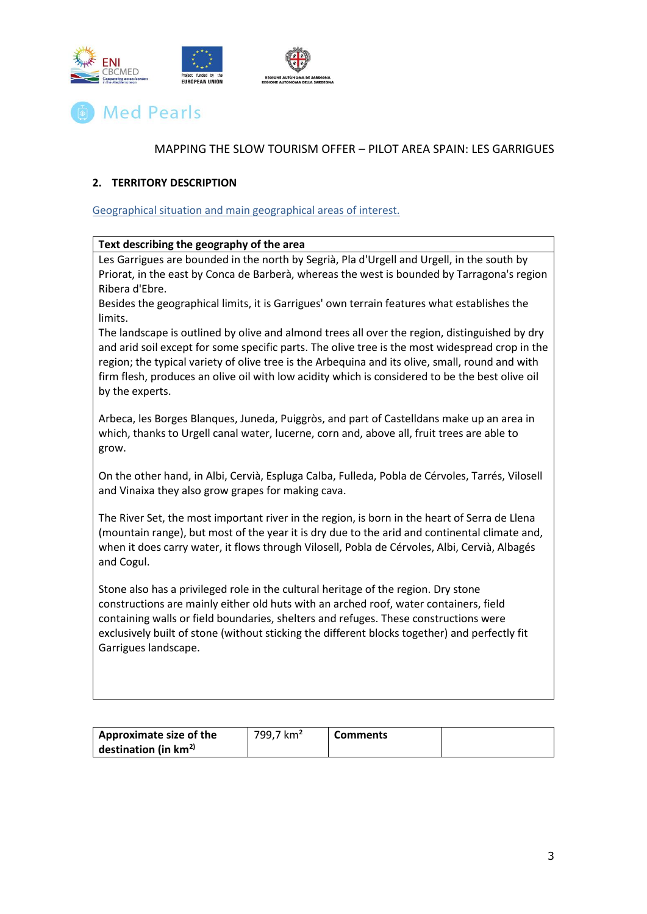



#### <span id="page-3-0"></span>**2. TERRITORY DESCRIPTION**

<span id="page-3-1"></span>Geographical situation and main geographical areas of interest.

#### **Text describing the geography of the area**

Les Garrigues are bounded in the north by Segrià, Pla d'Urgell and Urgell, in the south by Priorat, in the east by Conca de Barberà, whereas the west is bounded by Tarragona's region Ribera d'Ebre.

Besides the geographical limits, it is Garrigues' own terrain features what establishes the limits.

The landscape is outlined by olive and almond trees all over the region, distinguished by dry and arid soil except for some specific parts. The olive tree is the most widespread crop in the region; the typical variety of olive tree is the Arbequina and its olive, small, round and with firm flesh, produces an olive oil with low acidity which is considered to be the best olive oil by the experts.

Arbeca, les Borges Blanques, Juneda, Puiggròs, and part of Castelldans make up an area in which, thanks to Urgell canal water, lucerne, corn and, above all, fruit trees are able to grow.

On the other hand, in Albi, Cervià, Espluga Calba, Fulleda, Pobla de Cérvoles, Tarrés, Vilosell and Vinaixa they also grow grapes for making cava.

The River Set, the most important river in the region, is born in the heart of Serra de Llena (mountain range), but most of the year it is dry due to the arid and continental climate and, when it does carry water, it flows through Vilosell, Pobla de Cérvoles, Albi, Cervià, Albagés and Cogul.

Stone also has a privileged role in the cultural heritage of the region. Dry stone constructions are mainly either old huts with an arched roof, water containers, field containing walls or field boundaries, shelters and refuges. These constructions were exclusively built of stone (without sticking the different blocks together) and perfectly fit Garrigues landscape.

| Approximate size of the | 799,7 km <sup>2</sup> | <b>Comments</b> |  |
|-------------------------|-----------------------|-----------------|--|
| destination (in $km2$ ) |                       |                 |  |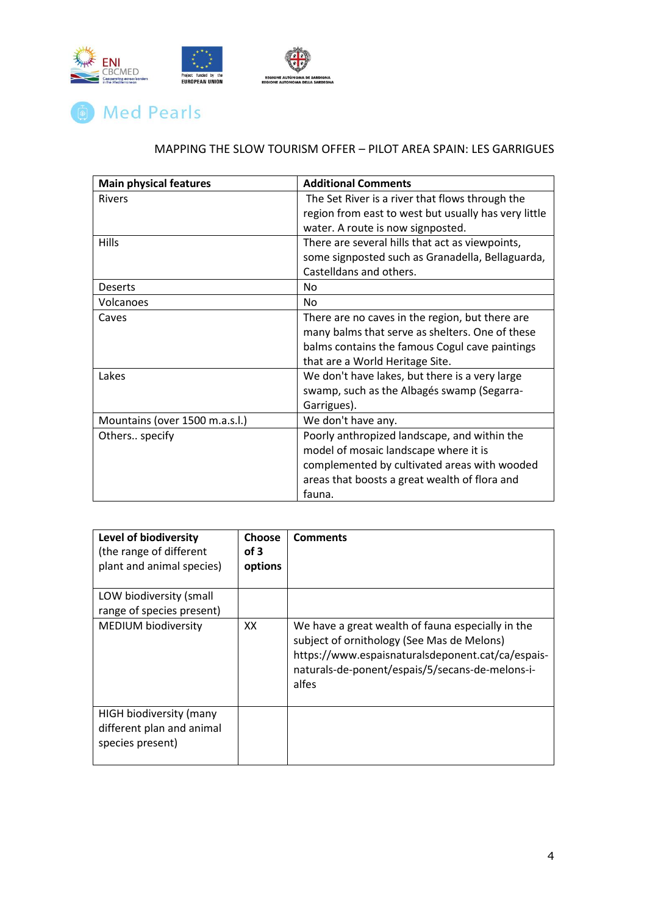



| <b>Main physical features</b>  | <b>Additional Comments</b>                           |
|--------------------------------|------------------------------------------------------|
| <b>Rivers</b>                  | The Set River is a river that flows through the      |
|                                | region from east to west but usually has very little |
|                                | water. A route is now signposted.                    |
| Hills                          | There are several hills that act as viewpoints,      |
|                                | some signposted such as Granadella, Bellaguarda,     |
|                                | Castelldans and others.                              |
| <b>Deserts</b>                 | No                                                   |
| Volcanoes                      | No                                                   |
| Caves                          | There are no caves in the region, but there are      |
|                                | many balms that serve as shelters. One of these      |
|                                | balms contains the famous Cogul cave paintings       |
|                                | that are a World Heritage Site.                      |
| Lakes                          | We don't have lakes, but there is a very large       |
|                                | swamp, such as the Albagés swamp (Segarra-           |
|                                | Garrigues).                                          |
| Mountains (over 1500 m.a.s.l.) | We don't have any.                                   |
| Others specify                 | Poorly anthropized landscape, and within the         |
|                                | model of mosaic landscape where it is                |
|                                | complemented by cultivated areas with wooded         |
|                                | areas that boosts a great wealth of flora and        |
|                                | fauna.                                               |

| Level of biodiversity<br>(the range of different<br>plant and animal species) | <b>Choose</b><br>of 3<br>options | <b>Comments</b>                                                                                                                                                                                                  |
|-------------------------------------------------------------------------------|----------------------------------|------------------------------------------------------------------------------------------------------------------------------------------------------------------------------------------------------------------|
| LOW biodiversity (small<br>range of species present)                          |                                  |                                                                                                                                                                                                                  |
| <b>MEDIUM biodiversity</b>                                                    | XX                               | We have a great wealth of fauna especially in the<br>subject of ornithology (See Mas de Melons)<br>https://www.espaisnaturalsdeponent.cat/ca/espais-<br>naturals-de-ponent/espais/5/secans-de-melons-i-<br>alfes |
| HIGH biodiversity (many<br>different plan and animal<br>species present)      |                                  |                                                                                                                                                                                                                  |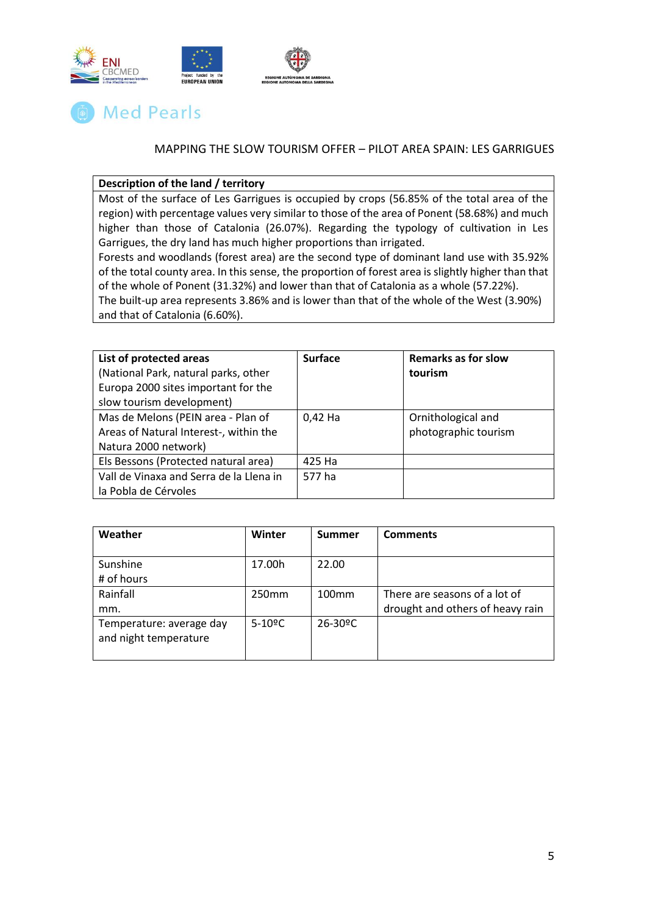



### **Description of the land / territory**

Most of the surface of Les Garrigues is occupied by crops (56.85% of the total area of the region) with percentage values very similar to those of the area of Ponent (58.68%) and much higher than those of Catalonia (26.07%). Regarding the typology of cultivation in Les Garrigues, the dry land has much higher proportions than irrigated.

Forests and woodlands (forest area) are the second type of dominant land use with 35.92% of the total county area. In this sense, the proportion of forest area is slightly higher than that of the whole of Ponent (31.32%) and lower than that of Catalonia as a whole (57.22%).

The built-up area represents 3.86% and is lower than that of the whole of the West (3.90%) and that of Catalonia (6.60%).

| List of protected areas                 | <b>Surface</b> | <b>Remarks as for slow</b> |
|-----------------------------------------|----------------|----------------------------|
| (National Park, natural parks, other    |                | tourism                    |
| Europa 2000 sites important for the     |                |                            |
| slow tourism development)               |                |                            |
| Mas de Melons (PEIN area - Plan of      | 0,42 Ha        | Ornithological and         |
| Areas of Natural Interest-, within the  |                | photographic tourism       |
| Natura 2000 network)                    |                |                            |
| Els Bessons (Protected natural area)    | 425 Ha         |                            |
| Vall de Vinaxa and Serra de la Llena in | 577 ha         |                            |
| la Pobla de Cérvoles                    |                |                            |

| Weather                                           | Winter                | <b>Summer</b>            | <b>Comments</b>                                                   |
|---------------------------------------------------|-----------------------|--------------------------|-------------------------------------------------------------------|
| Sunshine<br># of hours                            | 17.00h                | 22.00                    |                                                                   |
| Rainfall<br>mm.                                   | 250 <sub>mm</sub>     | 100 <sub>mm</sub>        | There are seasons of a lot of<br>drought and others of heavy rain |
| Temperature: average day<br>and night temperature | $5-10$ <sup>o</sup> C | $26 - 30$ <sup>o</sup> C |                                                                   |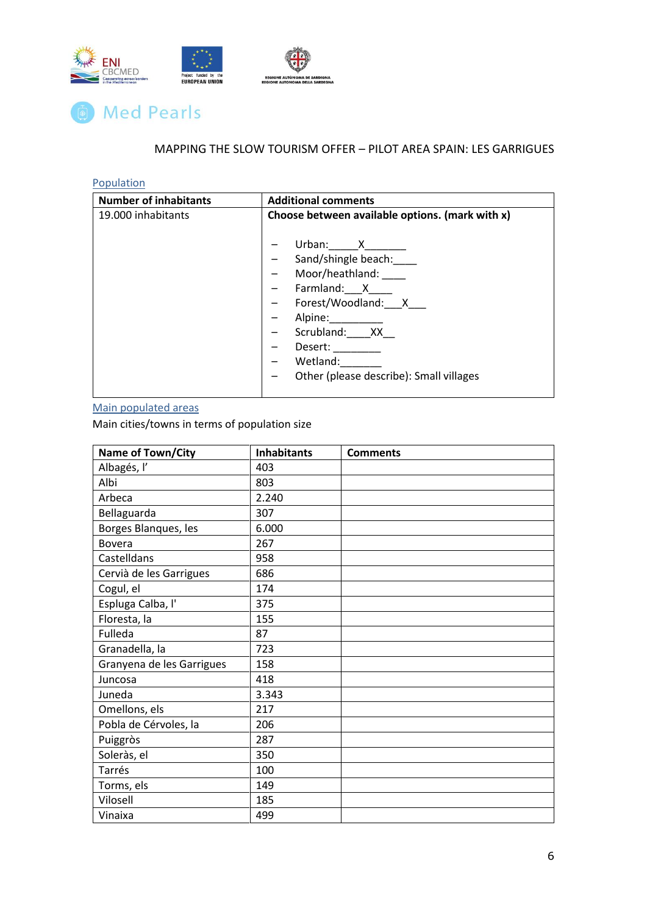



# <span id="page-6-0"></span>**Population**

| <b>Number of inhabitants</b> | <b>Additional comments</b>                                                                                                                                                            |
|------------------------------|---------------------------------------------------------------------------------------------------------------------------------------------------------------------------------------|
| 19.000 inhabitants           | Choose between available options. (mark with x)                                                                                                                                       |
|                              | Urban: X<br>Sand/shingle beach:<br>Moor/heathland:<br>Farmland: X<br>Forest/Woodland: X<br>Alpine:<br>Scrubland: XX<br>Desert:<br>Wetland:<br>Other (please describe): Small villages |

# <span id="page-6-1"></span>Main populated areas

Main cities/towns in terms of population size

| Name of Town/City         | <b>Inhabitants</b> | <b>Comments</b> |
|---------------------------|--------------------|-----------------|
| Albagés, l'               | 403                |                 |
| Albi                      | 803                |                 |
| Arbeca                    | 2.240              |                 |
| Bellaguarda               | 307                |                 |
| Borges Blanques, les      | 6.000              |                 |
| <b>Bovera</b>             | 267                |                 |
| Castelldans               | 958                |                 |
| Cervià de les Garrigues   | 686                |                 |
| Cogul, el                 | 174                |                 |
| Espluga Calba, l'         | 375                |                 |
| Floresta, la              | 155                |                 |
| Fulleda                   | 87                 |                 |
| Granadella, la            | 723                |                 |
| Granyena de les Garrigues | 158                |                 |
| Juncosa                   | 418                |                 |
| Juneda                    | 3.343              |                 |
| Omellons, els             | 217                |                 |
| Pobla de Cérvoles, la     | 206                |                 |
| Puiggròs                  | 287                |                 |
| Soleràs, el               | 350                |                 |
| Tarrés                    | 100                |                 |
| Torms, els                | 149                |                 |
| Vilosell                  | 185                |                 |
| Vinaixa                   | 499                |                 |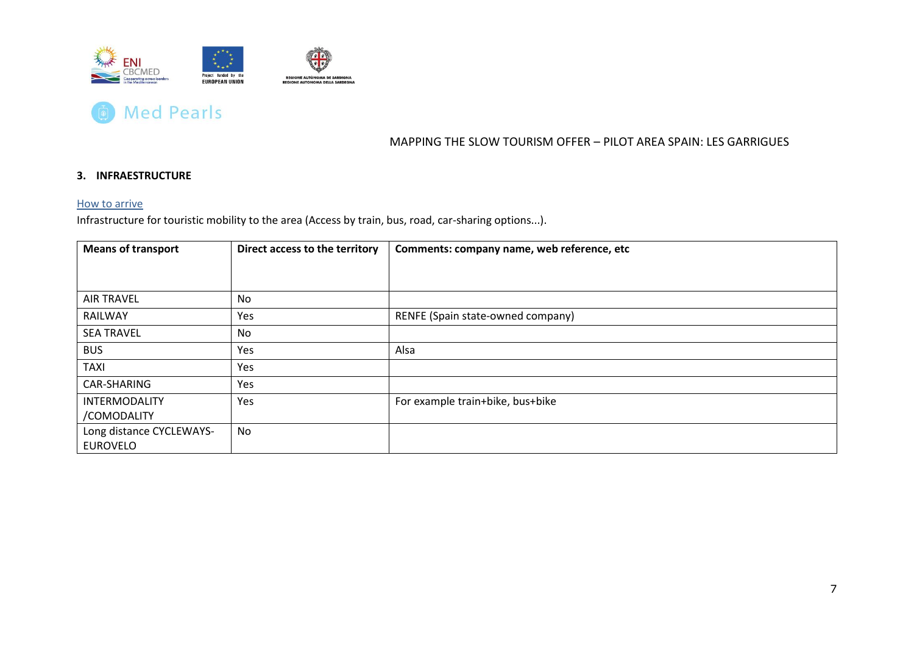



### **3. INFRAESTRUCTURE**

#### How to arrive

Infrastructure for touristic mobility to the area (Access by train, bus, road, car-sharing options...).

<span id="page-7-1"></span><span id="page-7-0"></span>

| <b>Means of transport</b> | Direct access to the territory | Comments: company name, web reference, etc |
|---------------------------|--------------------------------|--------------------------------------------|
|                           |                                |                                            |
|                           |                                |                                            |
| <b>AIR TRAVEL</b>         | No                             |                                            |
| RAILWAY                   | Yes                            | RENFE (Spain state-owned company)          |
| <b>SEA TRAVEL</b>         | No                             |                                            |
| <b>BUS</b>                | Yes                            | Alsa                                       |
| <b>TAXI</b>               | Yes                            |                                            |
| CAR-SHARING               | Yes                            |                                            |
| <b>INTERMODALITY</b>      | Yes                            | For example train+bike, bus+bike           |
| /COMODALITY               |                                |                                            |
| Long distance CYCLEWAYS-  | No                             |                                            |
| <b>EUROVELO</b>           |                                |                                            |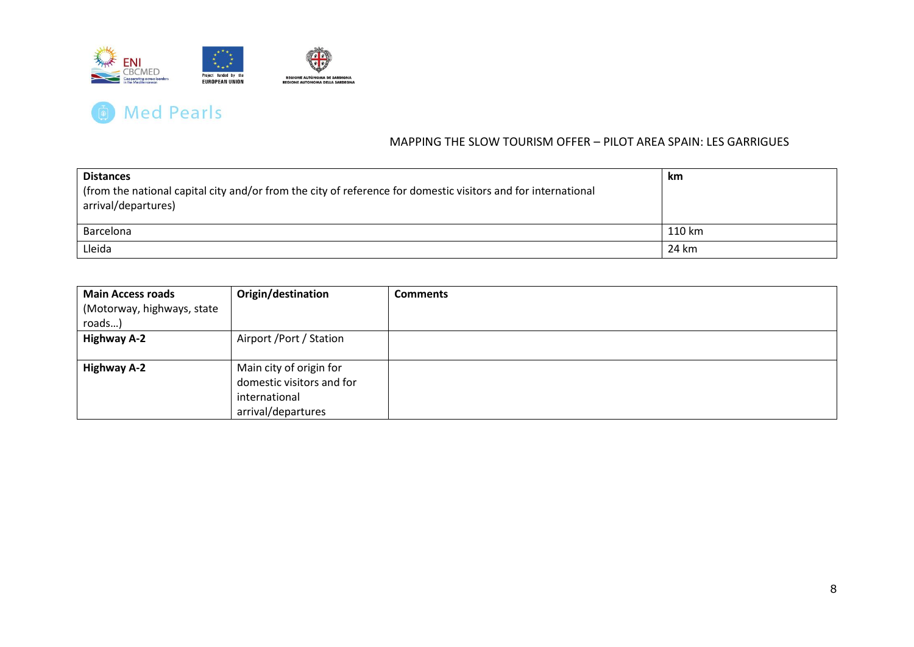

| <b>Distances</b><br>from the national capital city and/or from the city of reference for domestic visitors and for international<br>arrival/departures) | km     |
|---------------------------------------------------------------------------------------------------------------------------------------------------------|--------|
| Barcelona                                                                                                                                               | 110 km |
| Lleida                                                                                                                                                  | 24 km  |

| <b>Main Access roads</b>   | Origin/destination        | <b>Comments</b> |
|----------------------------|---------------------------|-----------------|
| (Motorway, highways, state |                           |                 |
| roads)                     |                           |                 |
| <b>Highway A-2</b>         | Airport / Port / Station  |                 |
|                            |                           |                 |
| <b>Highway A-2</b>         | Main city of origin for   |                 |
|                            | domestic visitors and for |                 |
|                            | international             |                 |
|                            | arrival/departures        |                 |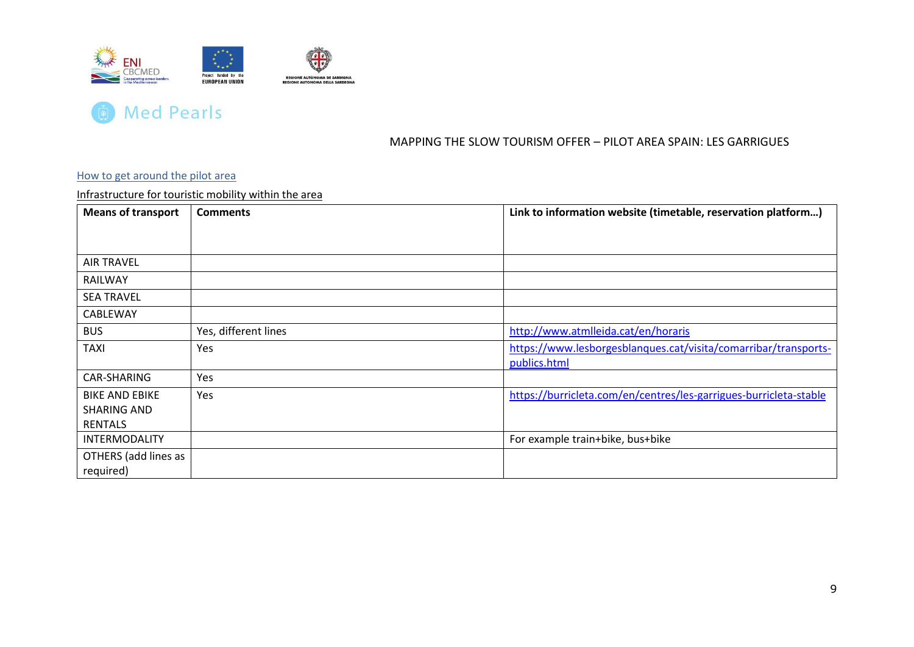



### How to get around the pilot area

Infrastructure for touristic mobility within the area

<span id="page-9-1"></span><span id="page-9-0"></span>

| <b>Means of transport</b> | <b>Comments</b>      | Link to information website (timetable, reservation platform)     |
|---------------------------|----------------------|-------------------------------------------------------------------|
|                           |                      |                                                                   |
|                           |                      |                                                                   |
| <b>AIR TRAVEL</b>         |                      |                                                                   |
| RAILWAY                   |                      |                                                                   |
| <b>SEA TRAVEL</b>         |                      |                                                                   |
| CABLEWAY                  |                      |                                                                   |
| <b>BUS</b>                | Yes, different lines | http://www.atmlleida.cat/en/horaris                               |
| <b>TAXI</b>               | Yes                  | https://www.lesborgesblanques.cat/visita/comarribar/transports-   |
|                           |                      | publics.html                                                      |
| CAR-SHARING               | Yes                  |                                                                   |
| <b>BIKE AND EBIKE</b>     | Yes                  | https://burricleta.com/en/centres/les-garrigues-burricleta-stable |
| <b>SHARING AND</b>        |                      |                                                                   |
| <b>RENTALS</b>            |                      |                                                                   |
| <b>INTERMODALITY</b>      |                      | For example train+bike, bus+bike                                  |
| OTHERS (add lines as      |                      |                                                                   |
| required)                 |                      |                                                                   |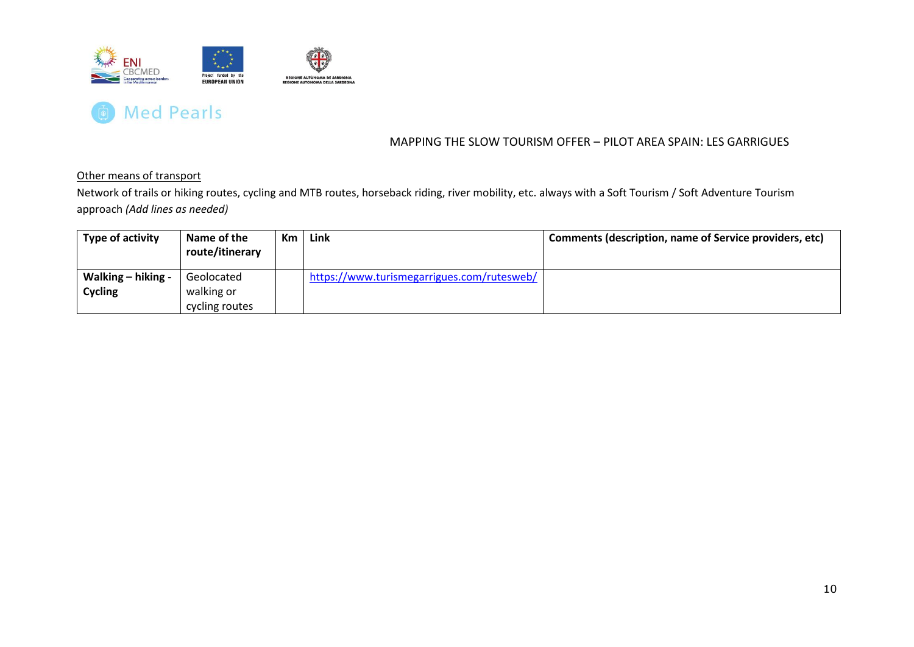



Other means of transport

Network of trails or hiking routes, cycling and MTB routes, horseback riding, river mobility, etc. always with a Soft Tourism / Soft Adventure Tourism approach *(Add lines as needed)*

<span id="page-10-0"></span>

| Type of activity   | Name of the<br>route/itinerary | Km | Link                                       | Comments (description, name of Service providers, etc) |
|--------------------|--------------------------------|----|--------------------------------------------|--------------------------------------------------------|
| Walking – hiking - | Geolocated                     |    | https://www.turismegarrigues.com/rutesweb/ |                                                        |
| <b>Cycling</b>     | walking or                     |    |                                            |                                                        |
|                    | cycling routes                 |    |                                            |                                                        |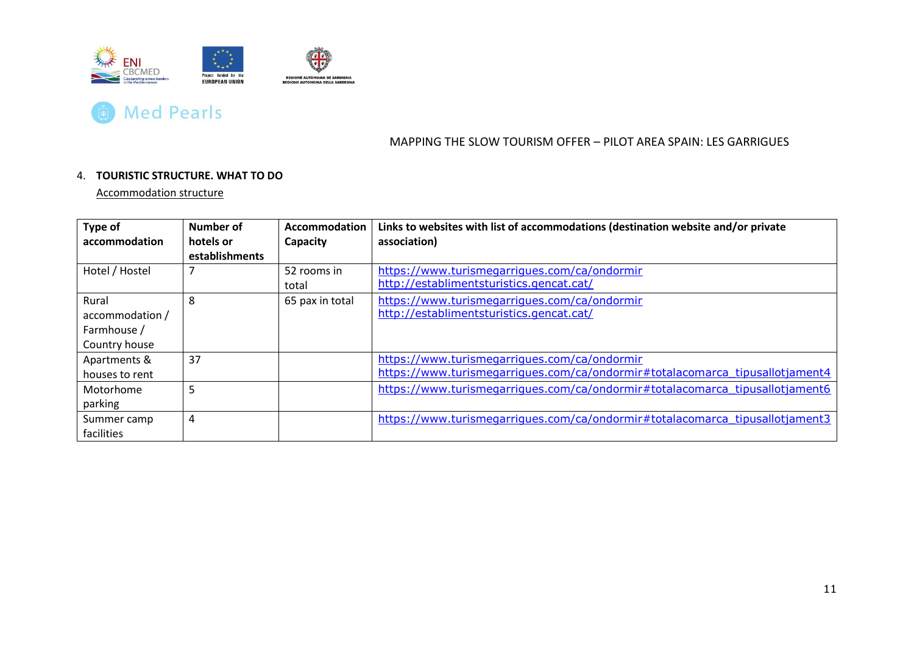



#### 4. **TOURISTIC STRUCTURE. WHAT TO DO**

Accommodation structure

<span id="page-11-0"></span>

| Type of<br>accommodation | Number of<br>hotels or | Accommodation<br>Capacity | Links to websites with list of accommodations (destination website and/or private<br>association) |
|--------------------------|------------------------|---------------------------|---------------------------------------------------------------------------------------------------|
|                          | establishments         |                           |                                                                                                   |
| Hotel / Hostel           |                        | 52 rooms in               | https://www.turismegarriques.com/ca/ondormir                                                      |
|                          |                        | total                     | http://establimentsturistics.gencat.cat/                                                          |
| Rural                    | 8                      | 65 pax in total           | https://www.turismegarriques.com/ca/ondormir                                                      |
| accommodation /          |                        |                           | http://establimentsturistics.gencat.cat/                                                          |
| Farmhouse /              |                        |                           |                                                                                                   |
| Country house            |                        |                           |                                                                                                   |
| Apartments &             | 37                     |                           | https://www.turismegarriques.com/ca/ondormir                                                      |
| houses to rent           |                        |                           | https://www.turismegarrigues.com/ca/ondormir#totalacomarca_tipusallotjament4                      |
| Motorhome                | 5                      |                           | https://www.turismegarriques.com/ca/ondormir#totalacomarca_tipusallotjament6                      |
| parking                  |                        |                           |                                                                                                   |
| Summer camp              | 4                      |                           | https://www.turismegarriques.com/ca/ondormir#totalacomarca_tipusallotjament3                      |
| facilities               |                        |                           |                                                                                                   |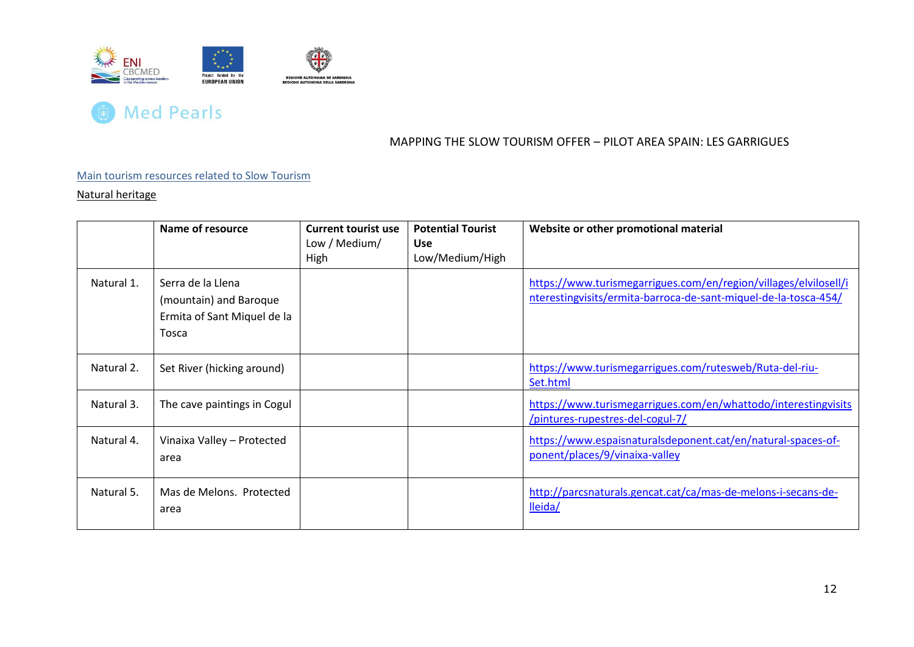



#### Main tourism resources related to Slow Tourism

Natural heritage

<span id="page-12-1"></span><span id="page-12-0"></span>

|            | Name of resource                                                                    | <b>Current tourist use</b><br>Low / Medium/<br>High | <b>Potential Tourist</b><br>Use<br>Low/Medium/High | Website or other promotional material                                                                                               |
|------------|-------------------------------------------------------------------------------------|-----------------------------------------------------|----------------------------------------------------|-------------------------------------------------------------------------------------------------------------------------------------|
| Natural 1. | Serra de la Llena<br>(mountain) and Baroque<br>Ermita of Sant Miquel de la<br>Tosca |                                                     |                                                    | https://www.turismegarrigues.com/en/region/villages/elvilosell/i<br>nterestingvisits/ermita-barroca-de-sant-miquel-de-la-tosca-454/ |
| Natural 2. | Set River (hicking around)                                                          |                                                     |                                                    | https://www.turismegarrigues.com/rutesweb/Ruta-del-riu-<br>Set.html                                                                 |
| Natural 3. | The cave paintings in Cogul                                                         |                                                     |                                                    | https://www.turismegarrigues.com/en/whattodo/interestingvisits<br>/pintures-rupestres-del-cogul-7/                                  |
| Natural 4. | Vinaixa Valley - Protected<br>area                                                  |                                                     |                                                    | https://www.espaisnaturalsdeponent.cat/en/natural-spaces-of-<br>ponent/places/9/vinaixa-valley                                      |
| Natural 5. | Mas de Melons. Protected<br>area                                                    |                                                     |                                                    | http://parcsnaturals.gencat.cat/ca/mas-de-melons-i-secans-de-<br>lleida/                                                            |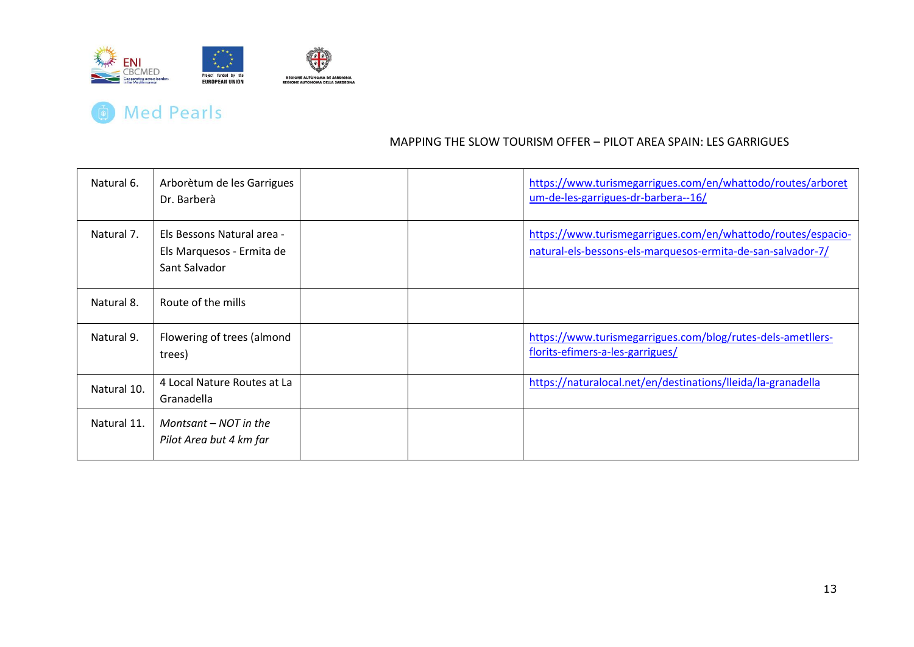

# **The Med Pearls**

| Natural 6.  | Arborètum de les Garrigues<br>Dr. Barberà                                |  | https://www.turismegarrigues.com/en/whattodo/routes/arboret<br>um-de-les-garrigues-dr-barbera--16/                          |
|-------------|--------------------------------------------------------------------------|--|-----------------------------------------------------------------------------------------------------------------------------|
| Natural 7.  | Els Bessons Natural area -<br>Els Marquesos - Ermita de<br>Sant Salvador |  | https://www.turismegarrigues.com/en/whattodo/routes/espacio-<br>natural-els-bessons-els-marquesos-ermita-de-san-salvador-7/ |
| Natural 8.  | Route of the mills                                                       |  |                                                                                                                             |
| Natural 9.  | Flowering of trees (almond<br>trees)                                     |  | https://www.turismegarrigues.com/blog/rutes-dels-ametllers-<br>florits-efimers-a-les-garrigues/                             |
| Natural 10. | 4 Local Nature Routes at La<br>Granadella                                |  | https://naturalocal.net/en/destinations/lleida/la-granadella                                                                |
| Natural 11. | Montsant $-$ NOT in the<br>Pilot Area but 4 km far                       |  |                                                                                                                             |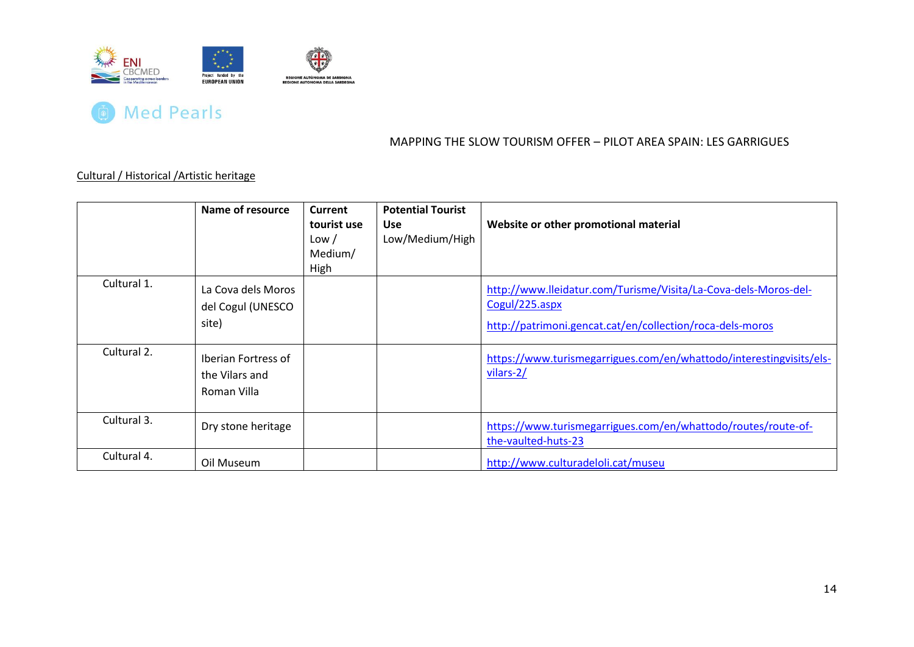



## Cultural / Historical /Artistic heritage

<span id="page-14-0"></span>

|             | Name of resource                                     | <b>Current</b><br>tourist use<br>Low /<br>Medium/<br>High | <b>Potential Tourist</b><br><b>Use</b><br>Low/Medium/High | Website or other promotional material                                                                                                          |
|-------------|------------------------------------------------------|-----------------------------------------------------------|-----------------------------------------------------------|------------------------------------------------------------------------------------------------------------------------------------------------|
| Cultural 1. | La Cova dels Moros<br>del Cogul (UNESCO<br>site)     |                                                           |                                                           | http://www.lleidatur.com/Turisme/Visita/La-Cova-dels-Moros-del-<br>Cogul/225.aspx<br>http://patrimoni.gencat.cat/en/collection/roca-dels-moros |
| Cultural 2. | Iberian Fortress of<br>the Vilars and<br>Roman Villa |                                                           |                                                           | https://www.turismegarrigues.com/en/whattodo/interestingvisits/els-<br>vilars-2/                                                               |
| Cultural 3. | Dry stone heritage                                   |                                                           |                                                           | https://www.turismegarrigues.com/en/whattodo/routes/route-of-<br>the-vaulted-huts-23                                                           |
| Cultural 4. | Oil Museum                                           |                                                           |                                                           | http://www.culturadeloli.cat/museu                                                                                                             |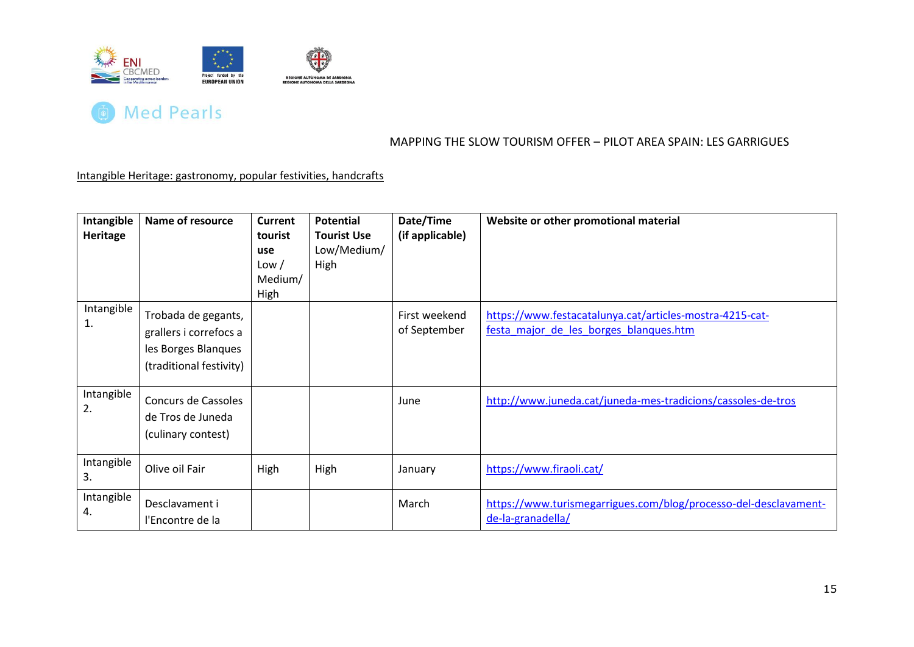



Intangible Heritage: gastronomy, popular festivities, handcrafts

<span id="page-15-0"></span>

| Intangible<br><b>Heritage</b> | Name of resource                                                                                | <b>Current</b><br>tourist<br>use<br>Low /<br>Medium/<br>High | <b>Potential</b><br><b>Tourist Use</b><br>Low/Medium/<br>High | Date/Time<br>(if applicable)  | Website or other promotional material                                                              |
|-------------------------------|-------------------------------------------------------------------------------------------------|--------------------------------------------------------------|---------------------------------------------------------------|-------------------------------|----------------------------------------------------------------------------------------------------|
| Intangible<br>1.              | Trobada de gegants,<br>grallers i correfocs a<br>les Borges Blanques<br>(traditional festivity) |                                                              |                                                               | First weekend<br>of September | https://www.festacatalunya.cat/articles-mostra-4215-cat-<br>festa major de les borges blanques.htm |
| Intangible<br>2.              | Concurs de Cassoles<br>de Tros de Juneda<br>(culinary contest)                                  |                                                              |                                                               | June                          | http://www.juneda.cat/juneda-mes-tradicions/cassoles-de-tros                                       |
| Intangible<br>3.              | Olive oil Fair                                                                                  | High                                                         | High                                                          | January                       | https://www.firaoli.cat/                                                                           |
| Intangible<br>4.              | Desclavament i<br>l'Encontre de la                                                              |                                                              |                                                               | March                         | https://www.turismegarrigues.com/blog/processo-del-desclavament-<br>de-la-granadella/              |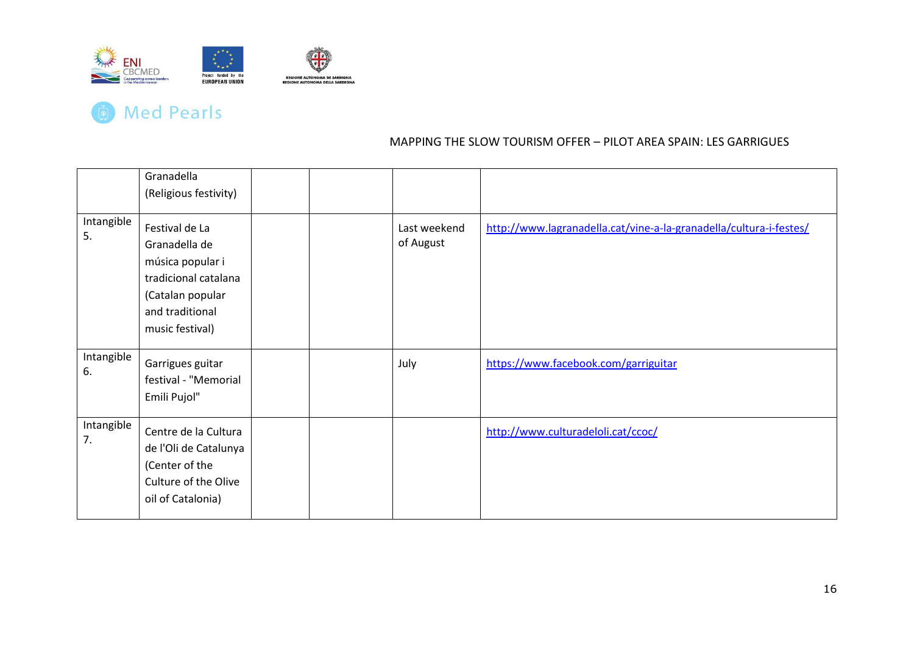

|                  | Granadella<br>(Religious festivity)                                                                                                   |  |                           |                                                                    |
|------------------|---------------------------------------------------------------------------------------------------------------------------------------|--|---------------------------|--------------------------------------------------------------------|
| Intangible<br>5. | Festival de La<br>Granadella de<br>música popular i<br>tradicional catalana<br>(Catalan popular<br>and traditional<br>music festival) |  | Last weekend<br>of August | http://www.lagranadella.cat/vine-a-la-granadella/cultura-i-festes/ |
| Intangible<br>6. | Garrigues guitar<br>festival - "Memorial<br>Emili Pujol"                                                                              |  | July                      | https://www.facebook.com/garriguitar                               |
| Intangible<br>7. | Centre de la Cultura<br>de l'Oli de Catalunya<br>(Center of the<br>Culture of the Olive<br>oil of Catalonia)                          |  |                           | http://www.culturadeloli.cat/ccoc/                                 |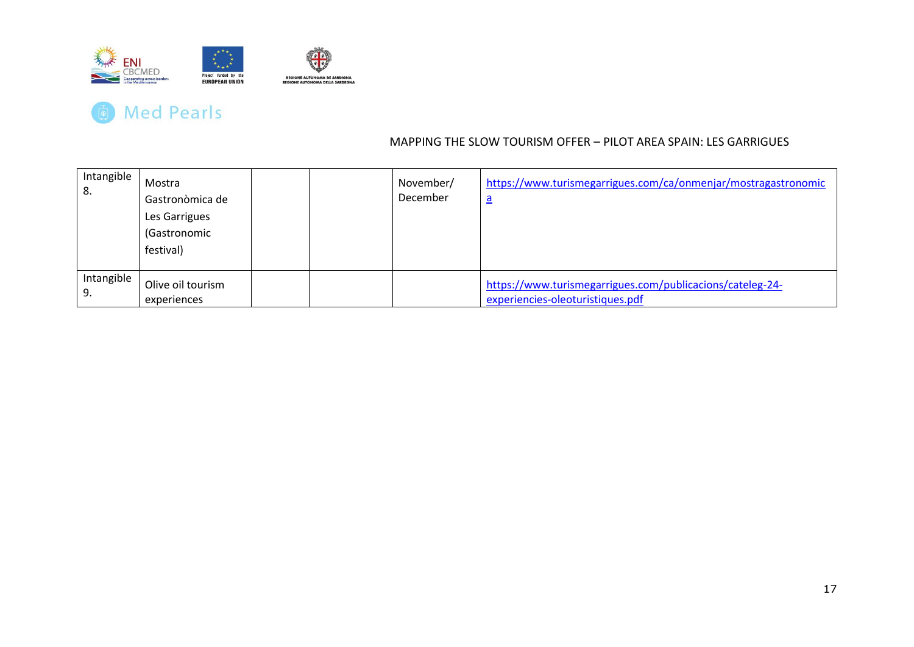

| Intangible<br>8. | Mostra<br>Gastronòmica de<br>Les Garrigues<br>(Gastronomic<br>festival) |  | November/<br>December | https://www.turismegarrigues.com/ca/onmenjar/mostragastronomic<br><u>a</u>                    |
|------------------|-------------------------------------------------------------------------|--|-----------------------|-----------------------------------------------------------------------------------------------|
| Intangible<br>9. | Olive oil tourism<br>experiences                                        |  |                       | https://www.turismegarrigues.com/publicacions/cateleg-24-<br>experiencies-oleoturistiques.pdf |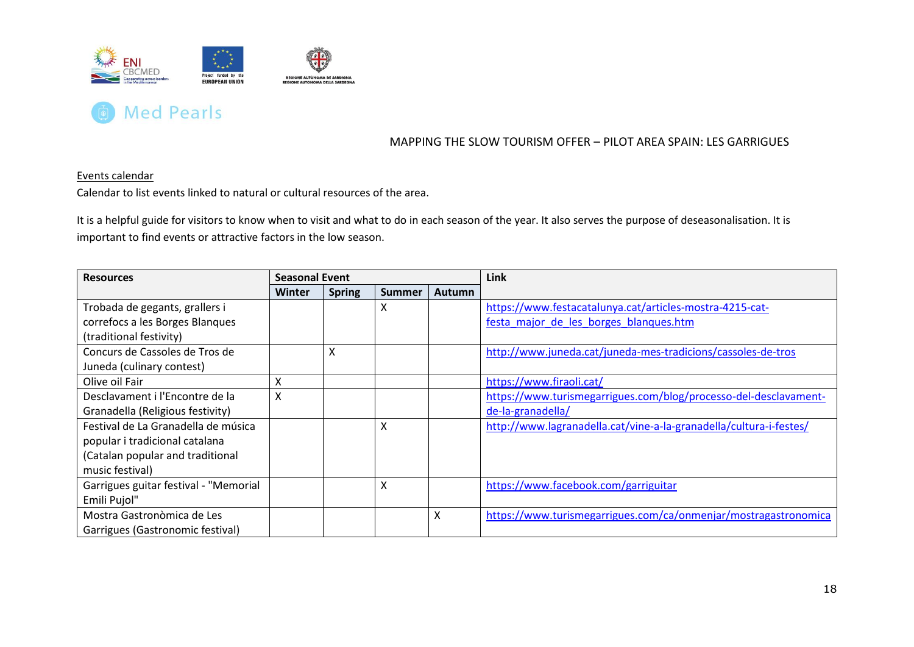



#### Events calendar

Calendar to list events linked to natural or cultural resources of the area.

It is a helpful guide for visitors to know when to visit and what to do in each season of the year. It also serves the purpose of deseasonalisation. It is important to find events or attractive factors in the low season.

<span id="page-18-1"></span><span id="page-18-0"></span>

| <b>Resources</b>                      | <b>Seasonal Event</b> |                   |               | Link          |                                                                    |
|---------------------------------------|-----------------------|-------------------|---------------|---------------|--------------------------------------------------------------------|
|                                       | <b>Winter</b>         | <b>Spring</b>     | <b>Summer</b> | <b>Autumn</b> |                                                                    |
| Trobada de gegants, grallers i        |                       |                   | X             |               | https://www.festacatalunya.cat/articles-mostra-4215-cat-           |
| correfocs a les Borges Blanques       |                       |                   |               |               | festa major de les borges blanques.htm                             |
| (traditional festivity)               |                       |                   |               |               |                                                                    |
| Concurs de Cassoles de Tros de        |                       | $\checkmark$<br>∧ |               |               | http://www.juneda.cat/juneda-mes-tradicions/cassoles-de-tros       |
| Juneda (culinary contest)             |                       |                   |               |               |                                                                    |
| Olive oil Fair                        | Χ                     |                   |               |               | https://www.firaoli.cat/                                           |
| Desclavament i l'Encontre de la       | X                     |                   |               |               | https://www.turismegarrigues.com/blog/processo-del-desclavament-   |
| Granadella (Religious festivity)      |                       |                   |               |               | de-la-granadella/                                                  |
| Festival de La Granadella de música   |                       |                   | X             |               | http://www.lagranadella.cat/vine-a-la-granadella/cultura-i-festes/ |
| popular i tradicional catalana        |                       |                   |               |               |                                                                    |
| (Catalan popular and traditional      |                       |                   |               |               |                                                                    |
| music festival)                       |                       |                   |               |               |                                                                    |
| Garrigues guitar festival - "Memorial |                       |                   | Χ             |               | https://www.facebook.com/garriguitar                               |
| Emili Pujol"                          |                       |                   |               |               |                                                                    |
| Mostra Gastronòmica de Les            |                       |                   |               | X             | https://www.turismegarrigues.com/ca/onmenjar/mostragastronomica    |
| Garrigues (Gastronomic festival)      |                       |                   |               |               |                                                                    |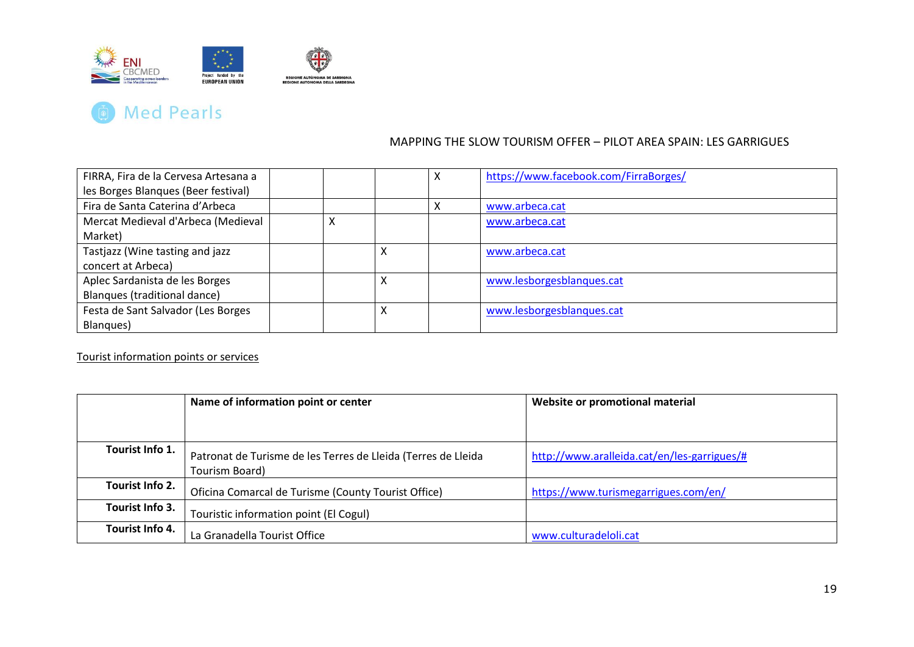



| FIRRA, Fira de la Cervesa Artesana a |  |   | X | https://www.facebook.com/FirraBorges/ |
|--------------------------------------|--|---|---|---------------------------------------|
| les Borges Blanques (Beer festival)  |  |   |   |                                       |
| Fira de Santa Caterina d'Arbeca      |  |   |   | www.arbeca.cat                        |
| Mercat Medieval d'Arbeca (Medieval   |  |   |   | www.arbeca.cat                        |
| Market)                              |  |   |   |                                       |
| Tastjazz (Wine tasting and jazz      |  | x |   | www.arbeca.cat                        |
| concert at Arbeca)                   |  |   |   |                                       |
| Aplec Sardanista de les Borges       |  | x |   | www.lesborgesblanques.cat             |
| Blanques (traditional dance)         |  |   |   |                                       |
| Festa de Sant Salvador (Les Borges   |  | х |   | www.lesborgesblanques.cat             |
| Blanques)                            |  |   |   |                                       |

#### Tourist information points or services

|                 | Name of information point or center                                             | Website or promotional material             |
|-----------------|---------------------------------------------------------------------------------|---------------------------------------------|
|                 |                                                                                 |                                             |
| Tourist Info 1. | Patronat de Turisme de les Terres de Lleida (Terres de Lleida<br>Tourism Board) | http://www.aralleida.cat/en/les-garrigues/# |
| Tourist Info 2. | Oficina Comarcal de Turisme (County Tourist Office)                             | https://www.turismegarrigues.com/en/        |
| Tourist Info 3. | Touristic information point (El Cogul)                                          |                                             |
| Tourist Info 4. | La Granadella Tourist Office                                                    | www.culturadeloli.cat                       |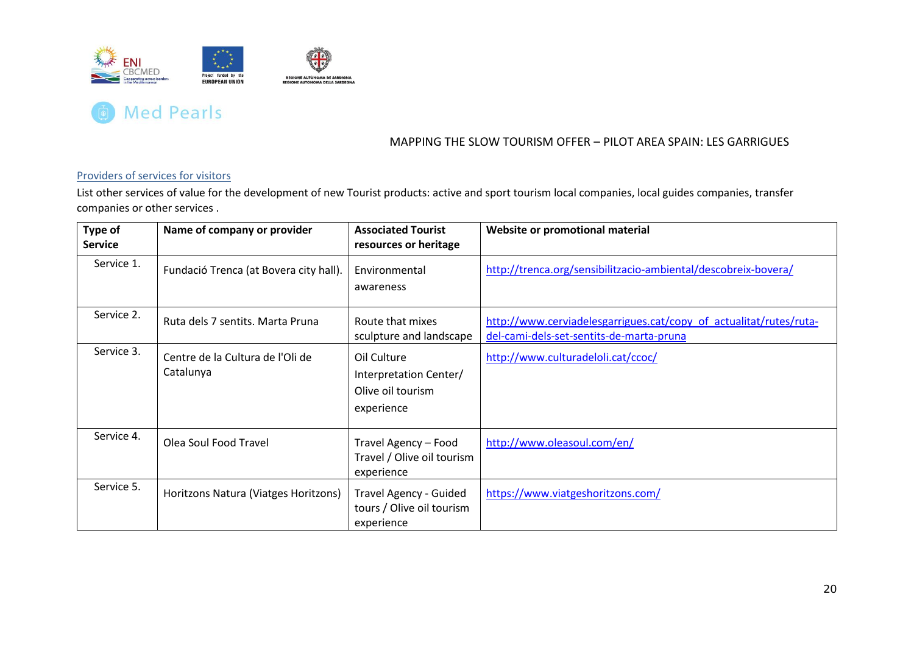



### Providers of services for visitors

List other services of value for the development of new Tourist products: active and sport tourism local companies, local guides companies, transfer companies or other services .

<span id="page-20-0"></span>

| Type of<br><b>Service</b> | Name of company or provider                   | <b>Associated Tourist</b><br>resources or heritage                       | Website or promotional material                                                                                |
|---------------------------|-----------------------------------------------|--------------------------------------------------------------------------|----------------------------------------------------------------------------------------------------------------|
| Service 1.                | Fundació Trenca (at Bovera city hall).        | Environmental<br>awareness                                               | http://trenca.org/sensibilitzacio-ambiental/descobreix-bovera/                                                 |
| Service 2.                | Ruta dels 7 sentits. Marta Pruna              | Route that mixes<br>sculpture and landscape                              | http://www.cerviadelesgarrigues.cat/copy_of_actualitat/rutes/ruta-<br>del-cami-dels-set-sentits-de-marta-pruna |
| Service 3.                | Centre de la Cultura de l'Oli de<br>Catalunya | Oil Culture<br>Interpretation Center/<br>Olive oil tourism<br>experience | http://www.culturadeloli.cat/ccoc/                                                                             |
| Service 4.                | Olea Soul Food Travel                         | Travel Agency - Food<br>Travel / Olive oil tourism<br>experience         | http://www.oleasoul.com/en/                                                                                    |
| Service 5.                | Horitzons Natura (Viatges Horitzons)          | Travel Agency - Guided<br>tours / Olive oil tourism<br>experience        | https://www.viatgeshoritzons.com/                                                                              |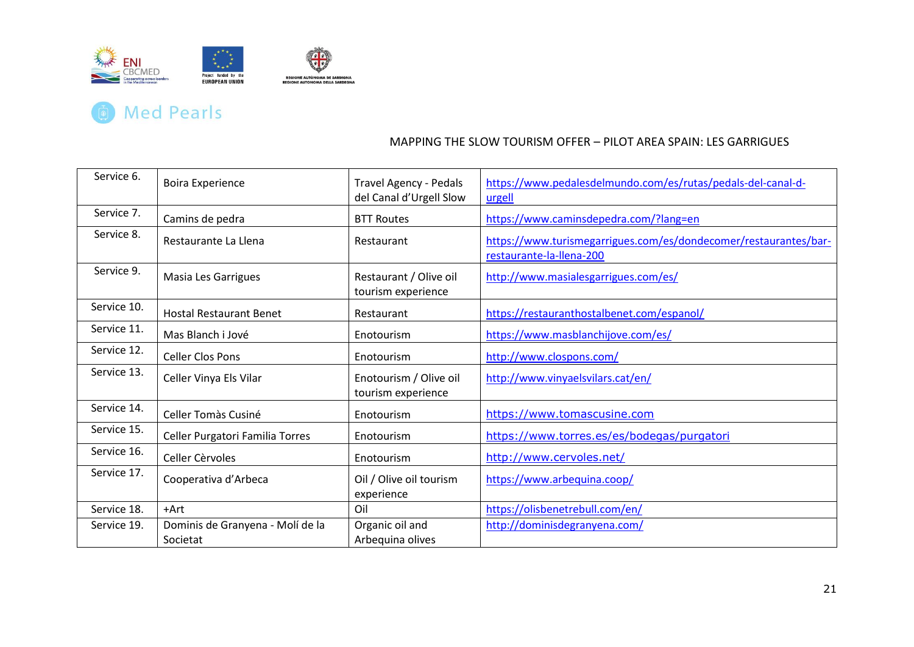

| Service 6.  | <b>Boira Experience</b>                      | <b>Travel Agency - Pedals</b><br>del Canal d'Urgell Slow | https://www.pedalesdelmundo.com/es/rutas/pedals-del-canal-d-<br>urgell                       |
|-------------|----------------------------------------------|----------------------------------------------------------|----------------------------------------------------------------------------------------------|
| Service 7.  | Camins de pedra                              | <b>BTT Routes</b>                                        | https://www.caminsdepedra.com/?lang=en                                                       |
| Service 8.  | Restaurante La Llena                         | Restaurant                                               | https://www.turismegarrigues.com/es/dondecomer/restaurantes/bar-<br>restaurante-la-llena-200 |
| Service 9.  | Masia Les Garrigues                          | Restaurant / Olive oil<br>tourism experience             | http://www.masialesgarrigues.com/es/                                                         |
| Service 10. | <b>Hostal Restaurant Benet</b>               | Restaurant                                               | https://restauranthostalbenet.com/espanol/                                                   |
| Service 11. | Mas Blanch i Jové                            | Enotourism                                               | https://www.masblanchijove.com/es/                                                           |
| Service 12. | <b>Celler Clos Pons</b>                      | Enotourism                                               | http://www.clospons.com/                                                                     |
| Service 13. | Celler Vinya Els Vilar                       | Enotourism / Olive oil<br>tourism experience             | http://www.vinyaelsvilars.cat/en/                                                            |
| Service 14. | Celler Tomàs Cusiné                          | Enotourism                                               | https://www.tomascusine.com                                                                  |
| Service 15. | Celler Purgatori Familia Torres              | Enotourism                                               | https://www.torres.es/es/bodegas/purgatori                                                   |
| Service 16. | Celler Cèrvoles                              | Enotourism                                               | http://www.cervoles.net/                                                                     |
| Service 17. | Cooperativa d'Arbeca                         | Oil / Olive oil tourism<br>experience                    | https://www.arbequina.coop/                                                                  |
| Service 18. | +Art                                         | Oil                                                      | https://olisbenetrebull.com/en/                                                              |
| Service 19. | Dominis de Granyena - Molí de la<br>Societat | Organic oil and<br>Arbequina olives                      | http://dominisdegranyena.com/                                                                |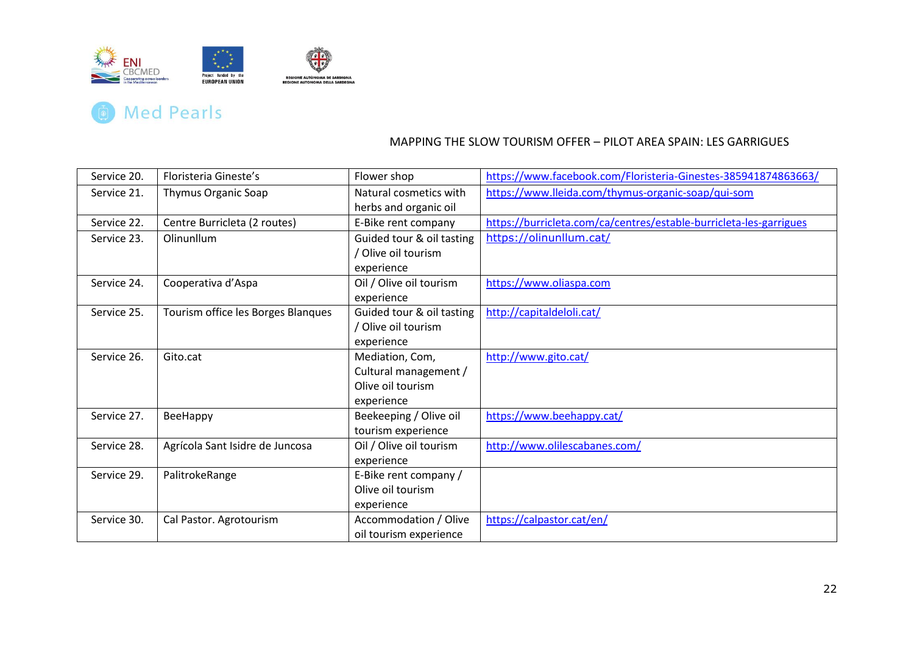

# **(a)** Med Pearls

| Service 20. | Floristeria Gineste's              | Flower shop               | https://www.facebook.com/Floristeria-Ginestes-385941874863663/     |
|-------------|------------------------------------|---------------------------|--------------------------------------------------------------------|
| Service 21. | Thymus Organic Soap                | Natural cosmetics with    | https://www.lleida.com/thymus-organic-soap/qui-som                 |
|             |                                    | herbs and organic oil     |                                                                    |
| Service 22. | Centre Burricleta (2 routes)       | E-Bike rent company       | https://burricleta.com/ca/centres/estable-burricleta-les-garrigues |
| Service 23. | Olinunllum                         | Guided tour & oil tasting | https://olinunllum.cat/                                            |
|             |                                    | / Olive oil tourism       |                                                                    |
|             |                                    | experience                |                                                                    |
| Service 24. | Cooperativa d'Aspa                 | Oil / Olive oil tourism   | https://www.oliaspa.com                                            |
|             |                                    | experience                |                                                                    |
| Service 25. | Tourism office les Borges Blanques | Guided tour & oil tasting | http://capitaldeloli.cat/                                          |
|             |                                    | / Olive oil tourism       |                                                                    |
|             |                                    | experience                |                                                                    |
| Service 26. | Gito.cat                           | Mediation, Com,           | http://www.gito.cat/                                               |
|             |                                    | Cultural management /     |                                                                    |
|             |                                    | Olive oil tourism         |                                                                    |
|             |                                    | experience                |                                                                    |
| Service 27. | BeeHappy                           | Beekeeping / Olive oil    | https://www.beehappy.cat/                                          |
|             |                                    | tourism experience        |                                                                    |
| Service 28. | Agrícola Sant Isidre de Juncosa    | Oil / Olive oil tourism   | http://www.olilescabanes.com/                                      |
|             |                                    | experience                |                                                                    |
| Service 29. | PalitrokeRange                     | E-Bike rent company /     |                                                                    |
|             |                                    | Olive oil tourism         |                                                                    |
|             |                                    | experience                |                                                                    |
| Service 30. | Cal Pastor. Agrotourism            | Accommodation / Olive     | https://calpastor.cat/en/                                          |
|             |                                    | oil tourism experience    |                                                                    |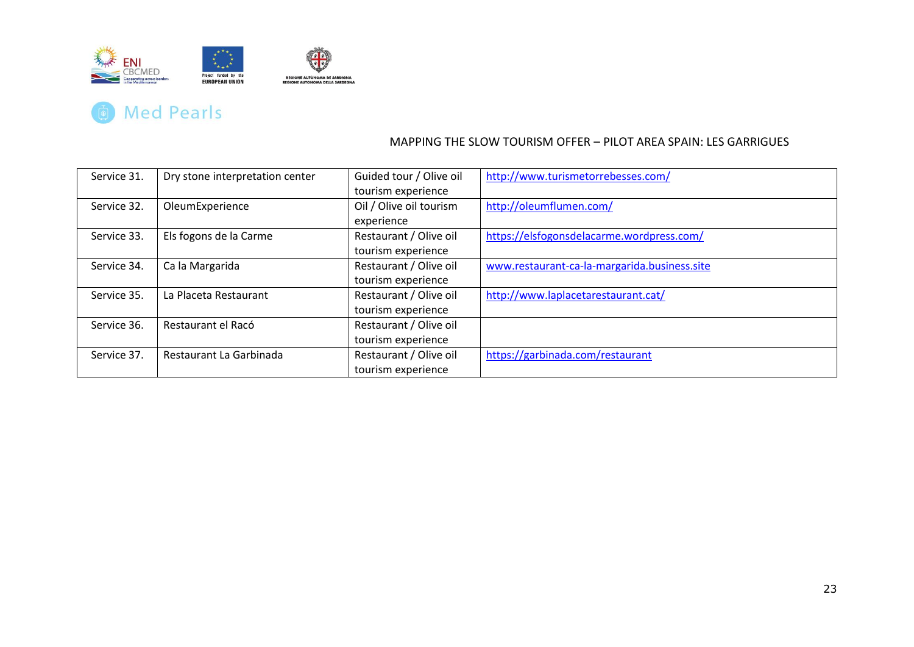

| Service 31. | Dry stone interpretation center | Guided tour / Olive oil | http://www.turismetorrebesses.com/           |
|-------------|---------------------------------|-------------------------|----------------------------------------------|
|             |                                 | tourism experience      |                                              |
| Service 32. | OleumExperience                 | Oil / Olive oil tourism | http://oleumflumen.com/                      |
|             |                                 | experience              |                                              |
| Service 33. | Els fogons de la Carme          | Restaurant / Olive oil  | https://elsfogonsdelacarme.wordpress.com/    |
|             |                                 | tourism experience      |                                              |
| Service 34. | Ca la Margarida                 | Restaurant / Olive oil  | www.restaurant-ca-la-margarida.business.site |
|             |                                 | tourism experience      |                                              |
| Service 35. | La Placeta Restaurant           | Restaurant / Olive oil  | http://www.laplacetarestaurant.cat/          |
|             |                                 | tourism experience      |                                              |
| Service 36. | Restaurant el Racó              | Restaurant / Olive oil  |                                              |
|             |                                 | tourism experience      |                                              |
| Service 37. | Restaurant La Garbinada         | Restaurant / Olive oil  | https://garbinada.com/restaurant             |
|             |                                 | tourism experience      |                                              |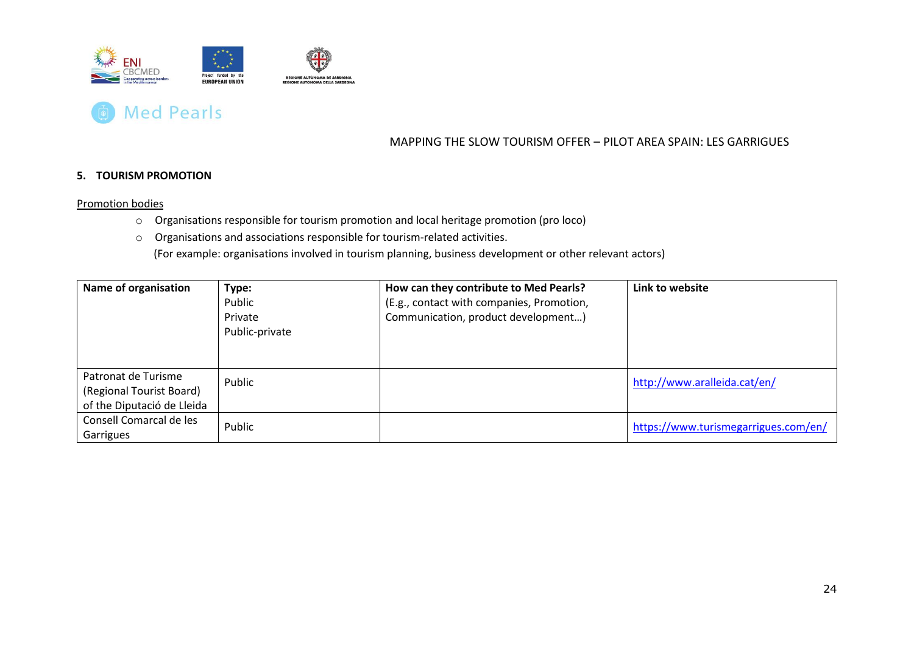



#### **5. TOURISM PROMOTION**

#### Promotion bodies

- o Organisations responsible for tourism promotion and local heritage promotion (pro loco)
- o Organisations and associations responsible for tourism-related activities.

(For example: organisations involved in tourism planning, business development or other relevant actors)

<span id="page-24-1"></span><span id="page-24-0"></span>

| Name of organisation       | Type:          | How can they contribute to Med Pearls?    | Link to website                      |
|----------------------------|----------------|-------------------------------------------|--------------------------------------|
|                            | Public         | (E.g., contact with companies, Promotion, |                                      |
|                            | Private        | Communication, product development)       |                                      |
|                            | Public-private |                                           |                                      |
|                            |                |                                           |                                      |
|                            |                |                                           |                                      |
| Patronat de Turisme        | Public         |                                           | http://www.aralleida.cat/en/         |
| (Regional Tourist Board)   |                |                                           |                                      |
| of the Diputació de Lleida |                |                                           |                                      |
| Consell Comarcal de les    | Public         |                                           | https://www.turismegarrigues.com/en/ |
| Garrigues                  |                |                                           |                                      |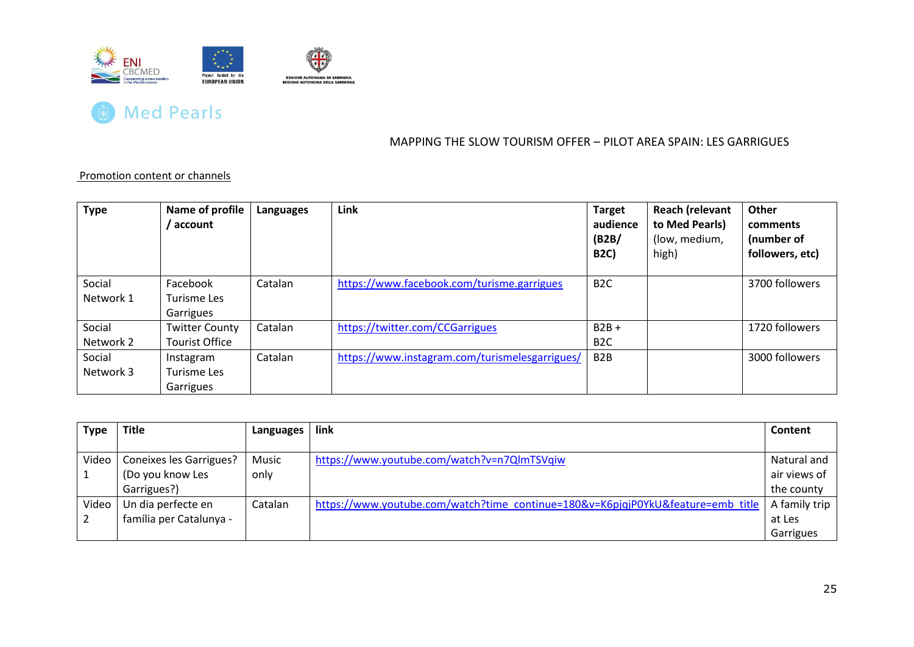



#### Promotion content or channels

| <b>Type</b>         | Name of profile<br>account                     | Languages | Link                                           | <b>Target</b><br>audience<br>(B2B)<br><b>B2C)</b> | <b>Reach (relevant</b><br>to Med Pearls)<br>(low, medium,<br>high) | Other<br>comments<br>(number of<br>followers, etc) |
|---------------------|------------------------------------------------|-----------|------------------------------------------------|---------------------------------------------------|--------------------------------------------------------------------|----------------------------------------------------|
| Social<br>Network 1 | Facebook<br>Turisme Les<br>Garrigues           | Catalan   | https://www.facebook.com/turisme.garrigues     | B <sub>2</sub> C                                  |                                                                    | 3700 followers                                     |
| Social<br>Network 2 | <b>Twitter County</b><br><b>Tourist Office</b> | Catalan   | https://twitter.com/CCGarrigues                | $B2B +$<br>B <sub>2</sub> C                       |                                                                    | 1720 followers                                     |
| Social<br>Network 3 | Instagram<br>Turisme Les<br>Garrigues          | Catalan   | https://www.instagram.com/turismelesgarrigues/ | B <sub>2</sub> B                                  |                                                                    | 3000 followers                                     |

<span id="page-25-0"></span>

| <b>Type</b> | <b>Title</b>            | Languages | link                                                                            | Content       |
|-------------|-------------------------|-----------|---------------------------------------------------------------------------------|---------------|
|             |                         |           |                                                                                 |               |
| Video       | Coneixes les Garrigues? | Music     | https://www.youtube.com/watch?v=n7QlmTSVqiw                                     | Natural and   |
|             | (Do you know Les        | only      |                                                                                 | air views of  |
|             | Garrigues?)             |           |                                                                                 | the county    |
| Video       | Un dia perfecte en      | Catalan   | https://www.youtube.com/watch?time_continue=180&v=K6pjqjP0YkU&feature=emb_title | A family trip |
|             | família per Catalunya - |           |                                                                                 | at Les        |
|             |                         |           |                                                                                 | Garrigues     |